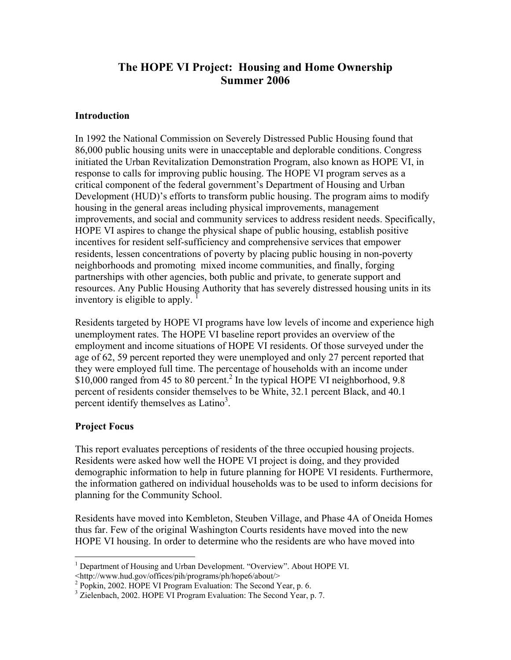# **The HOPE VI Project: Housing and Home Ownership Summer 2006**

#### **Introduction**

In 1992 the National Commission on Severely Distressed Public Housing found that 86,000 public housing units were in unacceptable and deplorable conditions. Congress initiated the Urban Revitalization Demonstration Program, also known as HOPE VI, in response to calls for improving public housing. The HOPE VI program serves as a critical component of the federal government's Department of Housing and Urban Development (HUD)'s efforts to transform public housing. The program aims to modify housing in the general areas including physical improvements, management improvements, and social and community services to address resident needs. Specifically, HOPE VI aspires to change the physical shape of public housing, establish positive incentives for resident self-sufficiency and comprehensive services that empower residents, lessen concentrations of poverty by placing public housing in non-poverty neighborhoods and promoting mixed income communities, and finally, forging partnerships with other agencies, both public and private, to generate support and resources. Any Public Housing Authority that has severely distressed housing units in its inventory is eligible to apply. <sup>1</sup>

Residents targeted by HOPE VI programs have low levels of income and experience high unemployment rates. The HOPE VI baseline report provides an overview of the employment and income situations of HOPE VI residents. Of those surveyed under the age of 62, 59 percent reported they were unemployed and only 27 percent reported that they were employed full time. The percentage of households with an income under \$10,000 ranged from 45 to 80 percent.<sup>2</sup> In the typical HOPE VI neighborhood, 9.8 percent of residents consider themselves to be White, 32.1 percent Black, and 40.1 percent identify themselves as Latino<sup>3</sup>.

## **Project Focus**

 $\overline{a}$ 

This report evaluates perceptions of residents of the three occupied housing projects. Residents were asked how well the HOPE VI project is doing, and they provided demographic information to help in future planning for HOPE VI residents. Furthermore, the information gathered on individual households was to be used to inform decisions for planning for the Community School.

Residents have moved into Kembleton, Steuben Village, and Phase 4A of Oneida Homes thus far. Few of the original Washington Courts residents have moved into the new HOPE VI housing. In order to determine who the residents are who have moved into

<http://www.hud.gov/offices/pih/programs/ph/hope6/about/>

<sup>&</sup>lt;sup>1</sup> Department of Housing and Urban Development. "Overview". About HOPE VI.

<sup>&</sup>lt;sup>2</sup> Popkin, 2002. HOPE VI Program Evaluation: The Second Year, p. 6.

<sup>&</sup>lt;sup>3</sup> Zielenbach, 2002. HOPE VI Program Evaluation: The Second Year, p. 7.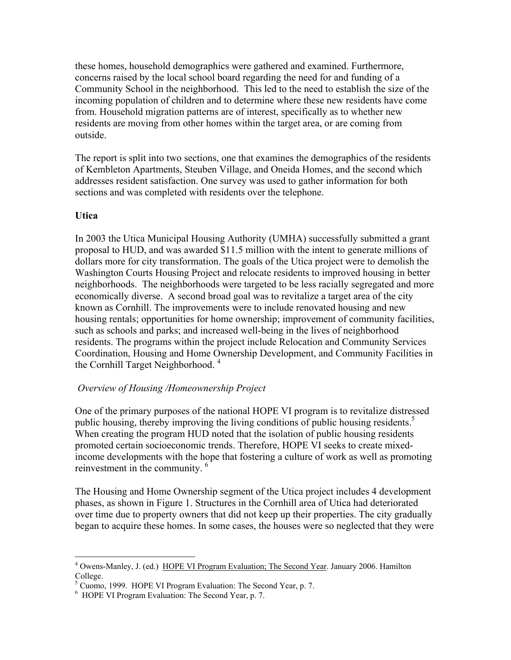these homes, household demographics were gathered and examined. Furthermore, concerns raised by the local school board regarding the need for and funding of a Community School in the neighborhood. This led to the need to establish the size of the incoming population of children and to determine where these new residents have come from. Household migration patterns are of interest, specifically as to whether new residents are moving from other homes within the target area, or are coming from outside.

The report is split into two sections, one that examines the demographics of the residents of Kembleton Apartments, Steuben Village, and Oneida Homes, and the second which addresses resident satisfaction. One survey was used to gather information for both sections and was completed with residents over the telephone.

#### **Utica**

<u>.</u>

In 2003 the Utica Municipal Housing Authority (UMHA) successfully submitted a grant proposal to HUD, and was awarded \$11.5 million with the intent to generate millions of dollars more for city transformation. The goals of the Utica project were to demolish the Washington Courts Housing Project and relocate residents to improved housing in better neighborhoods. The neighborhoods were targeted to be less racially segregated and more economically diverse. A second broad goal was to revitalize a target area of the city known as Cornhill. The improvements were to include renovated housing and new housing rentals; opportunities for home ownership; improvement of community facilities, such as schools and parks; and increased well-being in the lives of neighborhood residents. The programs within the project include Relocation and Community Services Coordination, Housing and Home Ownership Development, and Community Facilities in the Cornhill Target Neighborhood.<sup>4</sup>

## *Overview of Housing /Homeownership Project*

One of the primary purposes of the national HOPE VI program is to revitalize distressed public housing, thereby improving the living conditions of public housing residents.<sup>5</sup> When creating the program HUD noted that the isolation of public housing residents promoted certain socioeconomic trends. Therefore, HOPE VI seeks to create mixedincome developments with the hope that fostering a culture of work as well as promoting reinvestment in the community. 6

The Housing and Home Ownership segment of the Utica project includes 4 development phases, as shown in Figure 1. Structures in the Cornhill area of Utica had deteriorated over time due to property owners that did not keep up their properties. The city gradually began to acquire these homes. In some cases, the houses were so neglected that they were

<sup>&</sup>lt;sup>4</sup> Owens-Manley, J. (ed.) HOPE VI Program Evaluation; The Second Year. January 2006. Hamilton College.

<sup>&</sup>lt;sup>5</sup> Cuomo, 1999. HOPE VI Program Evaluation: The Second Year, p. 7.

<sup>6</sup> HOPE VI Program Evaluation: The Second Year, p. 7.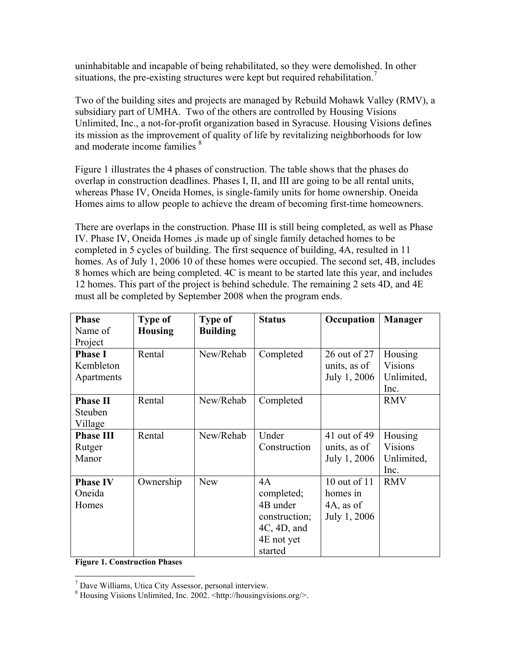uninhabitable and incapable of being rehabilitated, so they were demolished. In other situations, the pre-existing structures were kept but required rehabilitation.<sup>7</sup>

Two of the building sites and projects are managed by Rebuild Mohawk Valley (RMV), a subsidiary part of UMHA. Two of the others are controlled by Housing Visions Unlimited, Inc., a not-for-profit organization based in Syracuse. Housing Visions defines its mission as the improvement of quality of life by revitalizing neighborhoods for low and moderate income families  $\delta$ 

Figure 1 illustrates the 4 phases of construction. The table shows that the phases do overlap in construction deadlines. Phases I, II, and III are going to be all rental units, whereas Phase IV, Oneida Homes, is single-family units for home ownership. Oneida Homes aims to allow people to achieve the dream of becoming first-time homeowners.

There are overlaps in the construction. Phase III is still being completed, as well as Phase IV. Phase IV, Oneida Homes ,is made up of single family detached homes to be completed in 5 cycles of building. The first sequence of building, 4A, resulted in 11 homes. As of July 1, 2006 10 of these homes were occupied. The second set, 4B, includes 8 homes which are being completed. 4C is meant to be started late this year, and includes 12 homes. This part of the project is behind schedule. The remaining 2 sets 4D, and 4E must all be completed by September 2008 when the program ends.

| <b>Phase</b><br>Name of<br>Project        | <b>Type of</b><br><b>Housing</b> | <b>Type of</b><br><b>Building</b> | <b>Status</b>                                                                               | Occupation                                               | <b>Manager</b>                                  |
|-------------------------------------------|----------------------------------|-----------------------------------|---------------------------------------------------------------------------------------------|----------------------------------------------------------|-------------------------------------------------|
| <b>Phase I</b><br>Kembleton<br>Apartments | Rental                           | New/Rehab                         | Completed                                                                                   | 26 out of 27<br>units, as of<br>July 1, 2006             | Housing<br>Visions<br>Unlimited,<br>Inc.        |
| <b>Phase II</b><br>Steuben<br>Village     | Rental                           | New/Rehab                         | Completed                                                                                   |                                                          | <b>RMV</b>                                      |
| <b>Phase III</b><br>Rutger<br>Manor       | Rental                           | New/Rehab                         | Under<br>Construction                                                                       | 41 out of 49<br>units, as of<br>July 1, 2006             | Housing<br><b>Visions</b><br>Unlimited,<br>Inc. |
| <b>Phase IV</b><br>Oneida<br>Homes        | Ownership                        | <b>New</b>                        | 4A<br>completed;<br>4B under<br>construction;<br>$4C$ , $4D$ , and<br>4E not yet<br>started | 10 out of 11<br>homes in<br>$4A$ , as of<br>July 1, 2006 | <b>RMV</b>                                      |

**Figure 1. Construction Phases** 

 7 Dave Williams, Utica City Assessor, personal interview.

<sup>8</sup> Housing Visions Unlimited, Inc. 2002. <http://housingvisions.org/>.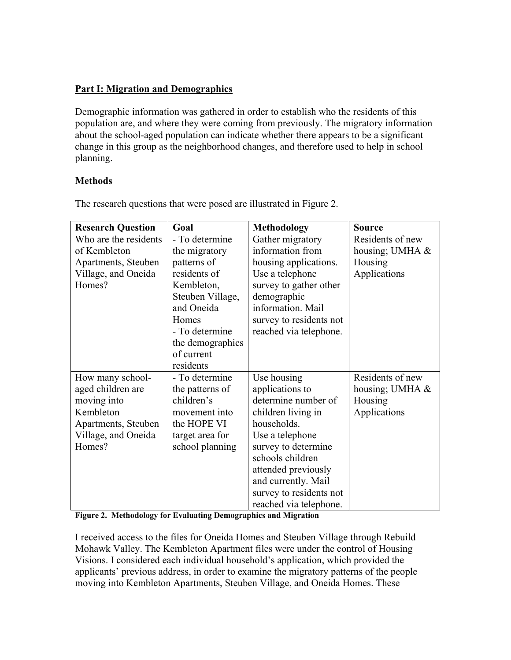## **Part I: Migration and Demographics**

Demographic information was gathered in order to establish who the residents of this population are, and where they were coming from previously. The migratory information about the school-aged population can indicate whether there appears to be a significant change in this group as the neighborhood changes, and therefore used to help in school planning.

## **Methods**

| <b>Research Question</b> | Goal             | <b>Methodology</b>      | <b>Source</b>    |
|--------------------------|------------------|-------------------------|------------------|
| Who are the residents    | - To determine   | Gather migratory        | Residents of new |
| of Kembleton             | the migratory    | information from        | housing; UMHA &  |
| Apartments, Steuben      | patterns of      | housing applications.   | Housing          |
| Village, and Oneida      | residents of     | Use a telephone         | Applications     |
| Homes?                   | Kembleton,       | survey to gather other  |                  |
|                          | Steuben Village, | demographic             |                  |
|                          | and Oneida       | information. Mail       |                  |
|                          | Homes            | survey to residents not |                  |
|                          | - To determine   | reached via telephone.  |                  |
|                          | the demographics |                         |                  |
|                          | of current       |                         |                  |
|                          | residents        |                         |                  |
| How many school-         | - To determine   | Use housing             | Residents of new |
| aged children are        | the patterns of  | applications to         | housing; UMHA &  |
| moving into              | children's       | determine number of     | Housing          |
| Kembleton                | movement into    | children living in      | Applications     |
| Apartments, Steuben      | the HOPE VI      | households.             |                  |
| Village, and Oneida      | target area for  | Use a telephone         |                  |
| Homes?                   | school planning  | survey to determine     |                  |
|                          |                  | schools children        |                  |
|                          |                  | attended previously     |                  |
|                          |                  | and currently. Mail     |                  |
|                          |                  | survey to residents not |                  |
|                          |                  | reached via telephone.  |                  |

The research questions that were posed are illustrated in Figure 2.

**Figure 2. Methodology for Evaluating Demographics and Migration** 

I received access to the files for Oneida Homes and Steuben Village through Rebuild Mohawk Valley. The Kembleton Apartment files were under the control of Housing Visions. I considered each individual household's application, which provided the applicants' previous address, in order to examine the migratory patterns of the people moving into Kembleton Apartments, Steuben Village, and Oneida Homes. These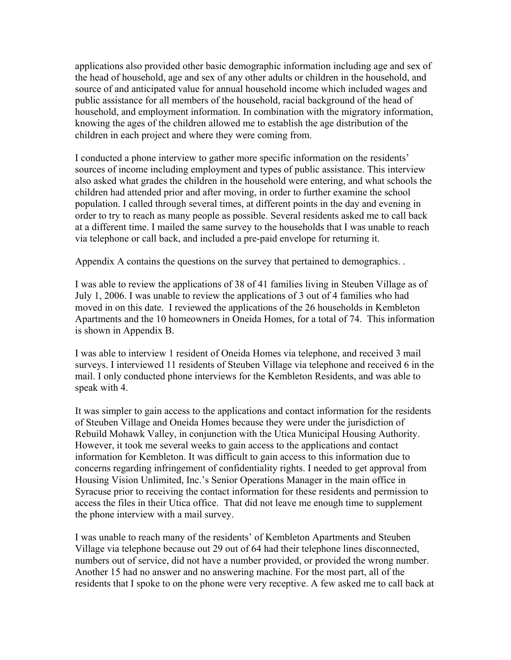applications also provided other basic demographic information including age and sex of the head of household, age and sex of any other adults or children in the household, and source of and anticipated value for annual household income which included wages and public assistance for all members of the household, racial background of the head of household, and employment information. In combination with the migratory information, knowing the ages of the children allowed me to establish the age distribution of the children in each project and where they were coming from.

I conducted a phone interview to gather more specific information on the residents' sources of income including employment and types of public assistance. This interview also asked what grades the children in the household were entering, and what schools the children had attended prior and after moving, in order to further examine the school population. I called through several times, at different points in the day and evening in order to try to reach as many people as possible. Several residents asked me to call back at a different time. I mailed the same survey to the households that I was unable to reach via telephone or call back, and included a pre-paid envelope for returning it.

Appendix A contains the questions on the survey that pertained to demographics. .

I was able to review the applications of 38 of 41 families living in Steuben Village as of July 1, 2006. I was unable to review the applications of 3 out of 4 families who had moved in on this date. I reviewed the applications of the 26 households in Kembleton Apartments and the 10 homeowners in Oneida Homes, for a total of 74. This information is shown in Appendix B.

I was able to interview 1 resident of Oneida Homes via telephone, and received 3 mail surveys. I interviewed 11 residents of Steuben Village via telephone and received 6 in the mail. I only conducted phone interviews for the Kembleton Residents, and was able to speak with 4.

It was simpler to gain access to the applications and contact information for the residents of Steuben Village and Oneida Homes because they were under the jurisdiction of Rebuild Mohawk Valley, in conjunction with the Utica Municipal Housing Authority. However, it took me several weeks to gain access to the applications and contact information for Kembleton. It was difficult to gain access to this information due to concerns regarding infringement of confidentiality rights. I needed to get approval from Housing Vision Unlimited, Inc.'s Senior Operations Manager in the main office in Syracuse prior to receiving the contact information for these residents and permission to access the files in their Utica office. That did not leave me enough time to supplement the phone interview with a mail survey.

I was unable to reach many of the residents' of Kembleton Apartments and Steuben Village via telephone because out 29 out of 64 had their telephone lines disconnected, numbers out of service, did not have a number provided, or provided the wrong number. Another 15 had no answer and no answering machine. For the most part, all of the residents that I spoke to on the phone were very receptive. A few asked me to call back at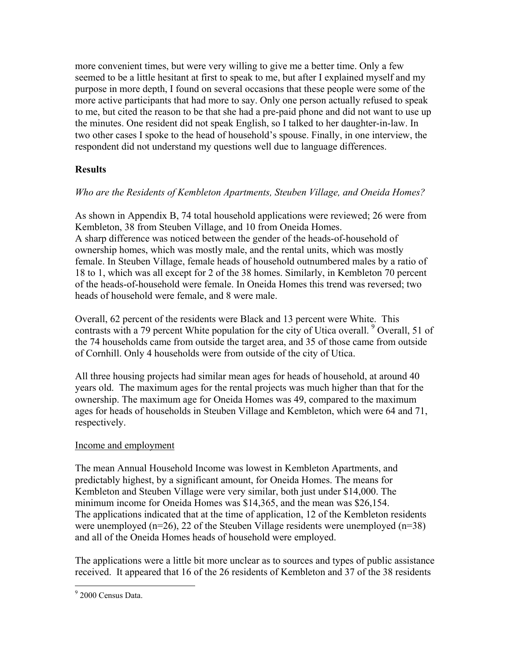more convenient times, but were very willing to give me a better time. Only a few seemed to be a little hesitant at first to speak to me, but after I explained myself and my purpose in more depth, I found on several occasions that these people were some of the more active participants that had more to say. Only one person actually refused to speak to me, but cited the reason to be that she had a pre-paid phone and did not want to use up the minutes. One resident did not speak English, so I talked to her daughter-in-law. In two other cases I spoke to the head of household's spouse. Finally, in one interview, the respondent did not understand my questions well due to language differences.

## **Results**

## *Who are the Residents of Kembleton Apartments, Steuben Village, and Oneida Homes?*

As shown in Appendix B, 74 total household applications were reviewed; 26 were from Kembleton, 38 from Steuben Village, and 10 from Oneida Homes. A sharp difference was noticed between the gender of the heads-of-household of ownership homes, which was mostly male, and the rental units, which was mostly female. In Steuben Village, female heads of household outnumbered males by a ratio of 18 to 1, which was all except for 2 of the 38 homes. Similarly, in Kembleton 70 percent of the heads-of-household were female. In Oneida Homes this trend was reversed; two heads of household were female, and 8 were male.

Overall, 62 percent of the residents were Black and 13 percent were White. This contrasts with a 79 percent White population for the city of Utica overall. <sup>9</sup> Overall, 51 of the 74 households came from outside the target area, and 35 of those came from outside of Cornhill. Only 4 households were from outside of the city of Utica.

All three housing projects had similar mean ages for heads of household, at around 40 years old. The maximum ages for the rental projects was much higher than that for the ownership. The maximum age for Oneida Homes was 49, compared to the maximum ages for heads of households in Steuben Village and Kembleton, which were 64 and 71, respectively.

## Income and employment

The mean Annual Household Income was lowest in Kembleton Apartments, and predictably highest, by a significant amount, for Oneida Homes. The means for Kembleton and Steuben Village were very similar, both just under \$14,000. The minimum income for Oneida Homes was \$14,365, and the mean was \$26,154. The applications indicated that at the time of application, 12 of the Kembleton residents were unemployed  $(n=26)$ , 22 of the Steuben Village residents were unemployed  $(n=38)$ and all of the Oneida Homes heads of household were employed.

The applications were a little bit more unclear as to sources and types of public assistance received. It appeared that 16 of the 26 residents of Kembleton and 37 of the 38 residents

 $\overline{a}$ 

<sup>&</sup>lt;sup>9</sup> 2000 Census Data.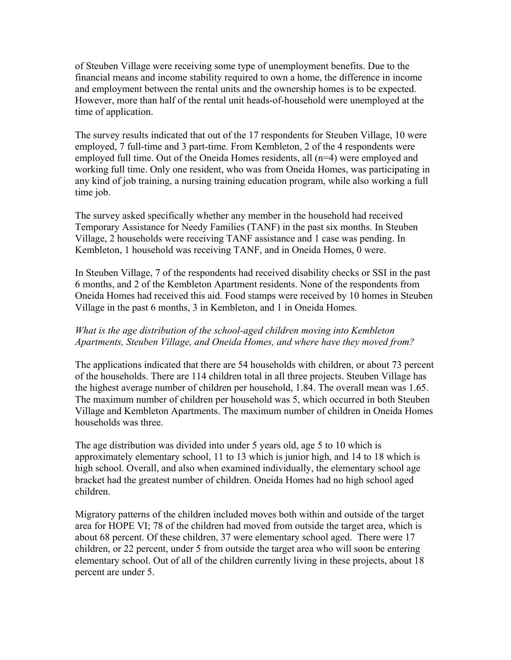of Steuben Village were receiving some type of unemployment benefits. Due to the financial means and income stability required to own a home, the difference in income and employment between the rental units and the ownership homes is to be expected. However, more than half of the rental unit heads-of-household were unemployed at the time of application.

The survey results indicated that out of the 17 respondents for Steuben Village, 10 were employed, 7 full-time and 3 part-time. From Kembleton, 2 of the 4 respondents were employed full time. Out of the Oneida Homes residents, all (n=4) were employed and working full time. Only one resident, who was from Oneida Homes, was participating in any kind of job training, a nursing training education program, while also working a full time job.

The survey asked specifically whether any member in the household had received Temporary Assistance for Needy Families (TANF) in the past six months. In Steuben Village, 2 households were receiving TANF assistance and 1 case was pending. In Kembleton, 1 household was receiving TANF, and in Oneida Homes, 0 were.

In Steuben Village, 7 of the respondents had received disability checks or SSI in the past 6 months, and 2 of the Kembleton Apartment residents. None of the respondents from Oneida Homes had received this aid. Food stamps were received by 10 homes in Steuben Village in the past 6 months, 3 in Kembleton, and 1 in Oneida Homes.

#### *What is the age distribution of the school-aged children moving into Kembleton Apartments, Steuben Village, and Oneida Homes, and where have they moved from?*

The applications indicated that there are 54 households with children, or about 73 percent of the households. There are 114 children total in all three projects. Steuben Village has the highest average number of children per household, 1.84. The overall mean was 1.65. The maximum number of children per household was 5, which occurred in both Steuben Village and Kembleton Apartments. The maximum number of children in Oneida Homes households was three.

The age distribution was divided into under 5 years old, age 5 to 10 which is approximately elementary school, 11 to 13 which is junior high, and 14 to 18 which is high school. Overall, and also when examined individually, the elementary school age bracket had the greatest number of children. Oneida Homes had no high school aged children.

Migratory patterns of the children included moves both within and outside of the target area for HOPE VI; 78 of the children had moved from outside the target area, which is about 68 percent. Of these children, 37 were elementary school aged. There were 17 children, or 22 percent, under 5 from outside the target area who will soon be entering elementary school. Out of all of the children currently living in these projects, about 18 percent are under 5.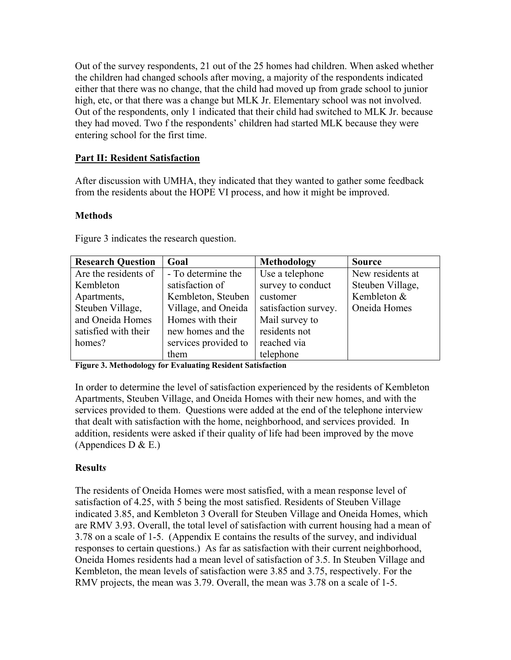Out of the survey respondents, 21 out of the 25 homes had children. When asked whether the children had changed schools after moving, a majority of the respondents indicated either that there was no change, that the child had moved up from grade school to junior high, etc, or that there was a change but MLK Jr. Elementary school was not involved. Out of the respondents, only 1 indicated that their child had switched to MLK Jr. because they had moved. Two f the respondents' children had started MLK because they were entering school for the first time.

## **Part II: Resident Satisfaction**

After discussion with UMHA, they indicated that they wanted to gather some feedback from the residents about the HOPE VI process, and how it might be improved.

## **Methods**

| <b>Research Question</b> | Goal                 | Methodology          | <b>Source</b>    |
|--------------------------|----------------------|----------------------|------------------|
| Are the residents of     | - To determine the   | Use a telephone      | New residents at |
| Kembleton                | satisfaction of      | survey to conduct    | Steuben Village, |
| Apartments,              | Kembleton, Steuben   | customer             | Kembleton &      |
| Steuben Village,         | Village, and Oneida  | satisfaction survey. | Oneida Homes     |
| and Oneida Homes         | Homes with their     | Mail survey to       |                  |
| satisfied with their     | new homes and the    | residents not        |                  |
| homes?                   | services provided to | reached via          |                  |
|                          | them                 | telephone            |                  |

Figure 3 indicates the research question.

**Figure 3. Methodology for Evaluating Resident Satisfaction** 

In order to determine the level of satisfaction experienced by the residents of Kembleton Apartments, Steuben Village, and Oneida Homes with their new homes, and with the services provided to them. Questions were added at the end of the telephone interview that dealt with satisfaction with the home, neighborhood, and services provided. In addition, residents were asked if their quality of life had been improved by the move (Appendices D  $\&$  E.)

## **Result***s*

The residents of Oneida Homes were most satisfied, with a mean response level of satisfaction of 4.25, with 5 being the most satisfied. Residents of Steuben Village indicated 3.85, and Kembleton 3 Overall for Steuben Village and Oneida Homes, which are RMV 3.93. Overall, the total level of satisfaction with current housing had a mean of 3.78 on a scale of 1-5. (Appendix E contains the results of the survey, and individual responses to certain questions.) As far as satisfaction with their current neighborhood, Oneida Homes residents had a mean level of satisfaction of 3.5. In Steuben Village and Kembleton, the mean levels of satisfaction were 3.85 and 3.75, respectively. For the RMV projects, the mean was 3.79. Overall, the mean was 3.78 on a scale of 1-5.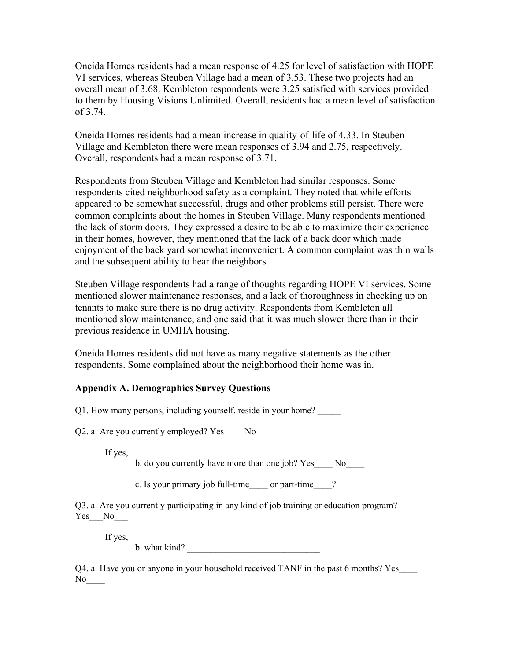Oneida Homes residents had a mean response of 4.25 for level of satisfaction with HOPE VI services, whereas Steuben Village had a mean of 3.53. These two projects had an overall mean of 3.68. Kembleton respondents were 3.25 satisfied with services provided to them by Housing Visions Unlimited. Overall, residents had a mean level of satisfaction of 3.74.

Oneida Homes residents had a mean increase in quality-of-life of 4.33. In Steuben Village and Kembleton there were mean responses of 3.94 and 2.75, respectively. Overall, respondents had a mean response of 3.71.

Respondents from Steuben Village and Kembleton had similar responses. Some respondents cited neighborhood safety as a complaint. They noted that while efforts appeared to be somewhat successful, drugs and other problems still persist. There were common complaints about the homes in Steuben Village. Many respondents mentioned the lack of storm doors. They expressed a desire to be able to maximize their experience in their homes, however, they mentioned that the lack of a back door which made enjoyment of the back yard somewhat inconvenient. A common complaint was thin walls and the subsequent ability to hear the neighbors.

Steuben Village respondents had a range of thoughts regarding HOPE VI services. Some mentioned slower maintenance responses, and a lack of thoroughness in checking up on tenants to make sure there is no drug activity. Respondents from Kembleton all mentioned slow maintenance, and one said that it was much slower there than in their previous residence in UMHA housing.

Oneida Homes residents did not have as many negative statements as the other respondents. Some complained about the neighborhood their home was in.

## **Appendix A. Demographics Survey Questions**

Q1. How many persons, including yourself, reside in your home?

Q2. a. Are you currently employed? Yes No

If yes,

b. do you currently have more than one job? Yes No

c. Is your primary job full-time or part-time ?

Q3. a. Are you currently participating in any kind of job training or education program? Yes\_ No

If yes,

 $b.$  what kind?

Q4. a. Have you or anyone in your household received TANF in the past 6 months? Yes\_\_\_\_ No<sub>l</sub>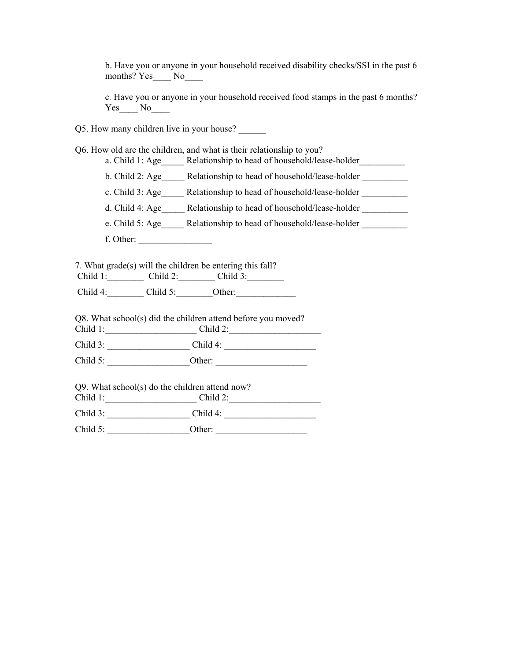b. Have you or anyone in your household received disability checks/SSI in the past 6 months? Yes No

c. Have you or anyone in your household received food stamps in the past 6 months? Yes\_\_\_\_ No\_\_\_\_

- Q5. How many children live in your house?
- Q6. How old are the children, and what is their relationship to you?
	- a. Child 1: Age \_\_\_\_\_ Relationship to head of household/lease-holder
	- b. Child 2: Age \_\_\_\_\_ Relationship to head of household/lease-holder
	- c. Child 3: Age \_\_\_\_\_\_ Relationship to head of household/lease-holder \_\_\_\_\_\_\_\_\_\_
	- d. Child 4: Age Relationship to head of household/lease-holder
	- e. Child 5: Age\_\_\_\_\_ Relationship to head of household/lease-holder \_\_\_\_\_\_\_\_\_\_\_
	- f. Other: \_\_\_\_\_\_\_\_\_\_\_\_\_\_\_\_

7. What grade(s) will the children be entering this fall? Child 1: \_\_\_\_\_\_\_\_ Child 2: \_\_\_\_\_\_\_ Child 3: \_\_\_\_\_\_\_

Child 4:\_\_\_\_\_\_\_\_ Child 5:\_\_\_\_\_\_\_\_Other:\_\_\_\_\_\_\_\_\_\_\_\_\_

Q8. What school(s) did the children attend before you moved?

Child 1:\_\_\_\_\_\_\_\_\_\_\_\_\_\_\_\_\_\_\_\_ Child 2:\_\_\_\_\_\_\_\_\_\_\_\_\_\_\_\_\_\_\_\_

Child 3: \_\_\_\_\_\_\_\_\_\_\_\_\_\_\_\_\_\_ Child 4: \_\_\_\_\_\_\_\_\_\_\_\_\_\_\_\_\_\_\_\_

Child 5: \_\_\_\_\_\_\_\_\_\_\_\_\_\_\_\_\_\_Other: \_\_\_\_\_\_\_\_\_\_\_\_\_\_\_\_\_\_\_\_

Q9. What school(s) do the children attend now?

Child 1:\_\_\_\_\_\_\_\_\_\_\_\_\_\_\_\_\_\_\_\_ Child 2:\_\_\_\_\_\_\_\_\_\_\_\_\_\_\_\_\_\_\_\_

Child 3: \_\_\_\_\_\_\_\_\_\_\_\_\_\_\_\_\_\_ Child 4: \_\_\_\_\_\_\_\_\_\_\_\_\_\_\_\_\_\_\_\_

Child 5: **Other:**  $Q$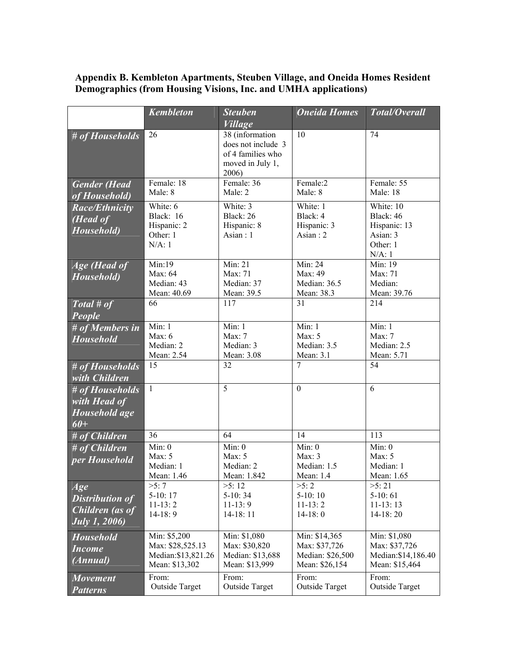#### **Appendix B. Kembleton Apartments, Steuben Village, and Oneida Homes Resident Demographics (from Housing Visions, Inc. and UMHA applications)**

|                                                                                 | <b>Kembleton</b>                                                          | <b>Steuben</b><br><b>Village</b>                                                        | <b>Oneida Homes</b>                                                  | Total/Overall                                                               |
|---------------------------------------------------------------------------------|---------------------------------------------------------------------------|-----------------------------------------------------------------------------------------|----------------------------------------------------------------------|-----------------------------------------------------------------------------|
| # of Households                                                                 | 26                                                                        | 38 (information<br>does not include 3<br>of 4 families who<br>moved in July 1,<br>2006) | 10                                                                   | 74                                                                          |
| <b>Gender</b> (Head<br>of Household)                                            | Female: 18<br>Male: 8                                                     | Female: 36<br>Male: 2                                                                   | Female:2<br>Male: 8                                                  | Female: 55<br>Male: 18                                                      |
| <b>Race/Ethnicity</b><br>(Head of<br>Household)                                 | White: $6$<br>Black: 16<br>Hispanic: 2<br>Other: 1<br>$N/A$ : 1           | White: 3<br>Black: 26<br>Hispanic: 8<br>Asian : $1$                                     | White: 1<br>Black: 4<br>Hispanic: 3<br>Asian : $2$                   | White: 10<br>Black: 46<br>Hispanic: 13<br>Asian: 3<br>Other: 1<br>$N/A$ : 1 |
| Age (Head of<br>Household)                                                      | Min:19<br>Max: 64<br>Median: 43<br>Mean: 40.69                            | $\overline{\text{Min}}$ : 21<br>Max: 71<br>Median: 37<br>Mean: 39.5                     | Min: 24<br>Max: 49<br>Median: 36.5<br>Mean: 38.3                     | Min: 19<br>Max: 71<br>Median:<br>Mean: 39.76                                |
| Total # of<br>People                                                            | 66                                                                        | 117                                                                                     | 31                                                                   | 214                                                                         |
| $# of$ Members in<br><b>Household</b>                                           | Min: 1<br>Max: $6$<br>Median: 2<br>Mean: 2.54                             | Min: 1<br>Max: $7$<br>Median: 3<br>Mean: 3.08                                           | Min: 1<br>Max: $5$<br>Median: 3.5<br>Mean: 3.1                       | Min: 1<br>Max: $7$<br>Median: 2.5<br>Mean: 5.71                             |
| # of Households<br>with <i>Children</i>                                         | 15                                                                        | 32                                                                                      | 7                                                                    | 54                                                                          |
| # of Households<br>with Head of<br>Household age<br>$60+$                       | $\mathbf{1}$                                                              | 5                                                                                       | $\boldsymbol{0}$                                                     | 6                                                                           |
| # of Children                                                                   | 36                                                                        | 64                                                                                      | 14                                                                   | 113                                                                         |
| $#$ of Children<br>per Household                                                | Min: 0<br>Max: $5$<br>Median: 1<br>Mean: 1.46                             | Min: 0<br>Max: $5$<br>Median: 2<br>Mean: 1.842                                          | Min: 0<br>Max: $3$<br>Median: 1.5<br>Mean: 1.4                       | Min: 0<br>Max: $5$<br>Median: 1<br>Mean: 1.65                               |
| Age<br><b>Distribution of</b><br><b>Children</b> (as of<br><b>July 1, 2006)</b> | >5:7<br>$5-10:17$<br>$11-13:2$<br>$14-18:9$                               | >5:12<br>$5-10:34$<br>$11-13:9$<br>$14-18:11$                                           | >5:2<br>$5-10:10$<br>$11-13:2$<br>$14-18:0$                          | >5:21<br>$5-10:61$<br>$11-13:13$<br>$14-18:20$                              |
| <b>Household</b><br><b>Income</b><br>(Annual)                                   | Min: \$5,200<br>Max: \$28,525.13<br>Median: \$13,821.26<br>Mean: \$13,302 | Min: \$1,080<br>Max: \$30,820<br>Median: \$13,688<br>Mean: \$13,999                     | Min: \$14,365<br>Max: \$37,726<br>Median: \$26,500<br>Mean: \$26,154 | Min: \$1,080<br>Max: \$37,726<br>Median: \$14,186.40<br>Mean: \$15,464      |
| <b>Movement</b><br><b>Patterns</b>                                              | From:<br><b>Outside Target</b>                                            | From:<br><b>Outside Target</b>                                                          | From:<br><b>Outside Target</b>                                       | From:<br><b>Outside Target</b>                                              |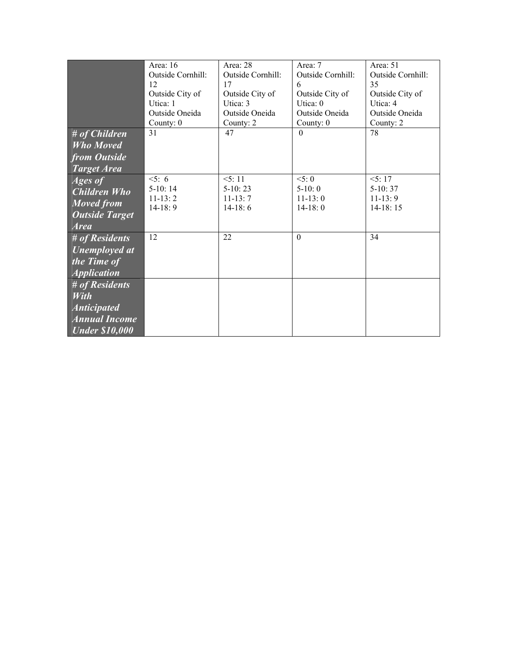|                       | Area: 16          | Area: 28          | Area: 7           | Area: 51          |
|-----------------------|-------------------|-------------------|-------------------|-------------------|
|                       | Outside Cornhill: | Outside Cornhill: | Outside Cornhill: | Outside Cornhill: |
|                       | 12                | 17                | 6                 | 35                |
|                       | Outside City of   | Outside City of   | Outside City of   | Outside City of   |
|                       | Utica: 1          | Utica: 3          | Utica: 0          | Utica: 4          |
|                       | Outside Oneida    | Outside Oneida    | Outside Oneida    | Outside Oneida    |
|                       | County: 0         | County: 2         | County: 0         | County: 2         |
| # of Children         | 31                | 47                | $\theta$          | 78                |
| <b>Who Moved</b>      |                   |                   |                   |                   |
| from Outside          |                   |                   |                   |                   |
| <b>Target Area</b>    |                   |                   |                   |                   |
| <i>Ages of</i>        | 5:6               | 5:11              | 5:0               | 5:17              |
| <b>Children Who</b>   | $5-10:14$         | $5-10:23$         | $5-10:0$          | $5-10:37$         |
| <b>Moved from</b>     | $11-13:2$         | $11-13:7$         | $11-13:0$         | $11-13:9$         |
|                       | $14-18:9$         | $14-18:6$         | $14-18:0$         | $14-18:15$        |
| <b>Outside Target</b> |                   |                   |                   |                   |
| <b>Area</b>           | 12                | 22                | $\theta$          | 34                |
| # of Residents        |                   |                   |                   |                   |
| Unemployed at         |                   |                   |                   |                   |
| the Time of           |                   |                   |                   |                   |
| <b>Application</b>    |                   |                   |                   |                   |
| # of Residents        |                   |                   |                   |                   |
| <b>With</b>           |                   |                   |                   |                   |
| <b>Anticipated</b>    |                   |                   |                   |                   |
| <b>Annual Income</b>  |                   |                   |                   |                   |
|                       |                   |                   |                   |                   |
| <b>Under \$10,000</b> |                   |                   |                   |                   |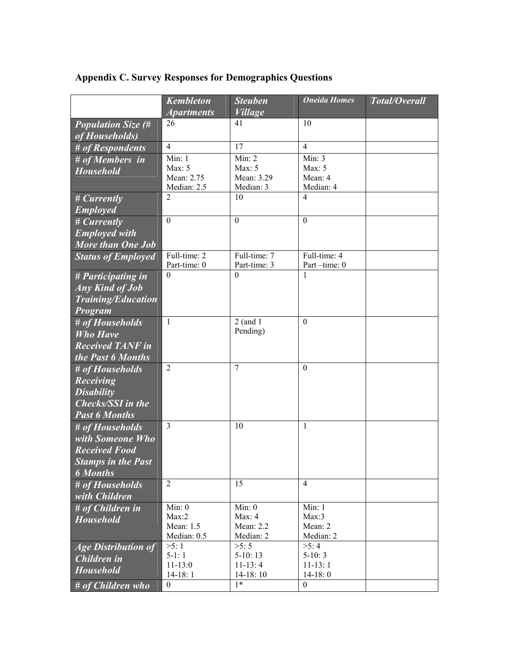# **Appendix C. Survey Responses for Demographics Questions**

|                            | <b>Kembleton</b>  | <b>Steuben</b> | <b>Oneida Homes</b> | Total/Overall |
|----------------------------|-------------------|----------------|---------------------|---------------|
|                            | <b>Apartments</b> | <b>Village</b> |                     |               |
| <b>Population Size (#</b>  | 26                | 41             | 10                  |               |
| of Households)             |                   |                |                     |               |
| # of Respondents           | $\overline{4}$    | 17             | $\overline{4}$      |               |
| # of Members in            | Min: 1            | Min: 2         | Min: 3              |               |
| <b>Household</b>           | Max: $5$          | Max: $5$       | Max: $5$            |               |
|                            | Mean: 2.75        | Mean: 3.29     | Mean: 4             |               |
|                            | Median: 2.5       | Median: 3      | Median: 4           |               |
| # Currently                | $\overline{2}$    | 10             | $\overline{4}$      |               |
| <b>Employed</b>            |                   |                |                     |               |
| # Currently                | $\mathbf{0}$      | $\theta$       | $\mathbf{0}$        |               |
| <b>Employed with</b>       |                   |                |                     |               |
| <b>More than One Job</b>   |                   |                |                     |               |
| <b>Status of Employed</b>  | Full-time: 2      | Full-time: 7   | Full-time: 4        |               |
|                            | Part-time: 0      | Part-time: 3   | Part-time: 0        |               |
| # Participating in         | $\theta$          | $\theta$       | 1                   |               |
| <b>Any Kind of Job</b>     |                   |                |                     |               |
| <b>Training/Education</b>  |                   |                |                     |               |
| Program                    |                   |                |                     |               |
| # of Households            | $\mathbf{1}$      | $2$ (and 1     | $\mathbf{0}$        |               |
| <b>Who Have</b>            |                   | Pending)       |                     |               |
| <b>Received TANF in</b>    |                   |                |                     |               |
| the Past 6 Months          |                   |                |                     |               |
| # of Households            | $\overline{2}$    | $\overline{7}$ | $\Omega$            |               |
| <b>Receiving</b>           |                   |                |                     |               |
| <b>Disability</b>          |                   |                |                     |               |
| <b>Checks/SSI</b> in the   |                   |                |                     |               |
| <b>Past 6 Months</b>       |                   |                |                     |               |
| # of Households            | 3                 | 10             | 1                   |               |
| with Someone Who           |                   |                |                     |               |
| <b>Received Food</b>       |                   |                |                     |               |
| <b>Stamps in the Past</b>  |                   |                |                     |               |
| <b>6</b> Months            |                   |                |                     |               |
| # of Households            | $\overline{2}$    | 15             | $\overline{4}$      |               |
|                            |                   |                |                     |               |
| with Children              | Min: 0            | Min: 0         | Min: 1              |               |
| $#$ of Children in         | Max:2             | Max: $4$       | Max:3               |               |
| <b>Household</b>           | Mean: 1.5         | Mean: $2.2$    | Mean: 2             |               |
|                            | Median: 0.5       | Median: 2      | Median: 2           |               |
| <b>Age Distribution of</b> | >5:1              | >5:5           | >5:4                |               |
| <b>Children</b> in         | $5-1:1$           | $5-10:13$      | $5-10:3$            |               |
| <b>Household</b>           | $11 - 13:0$       | $11-13:4$      | $11 - 13:1$         |               |
|                            | $14-18:1$         | $14-18:10$     | $14-18:0$           |               |
| $#$ of Children who        | 0                 | $1*$           | $\theta$            |               |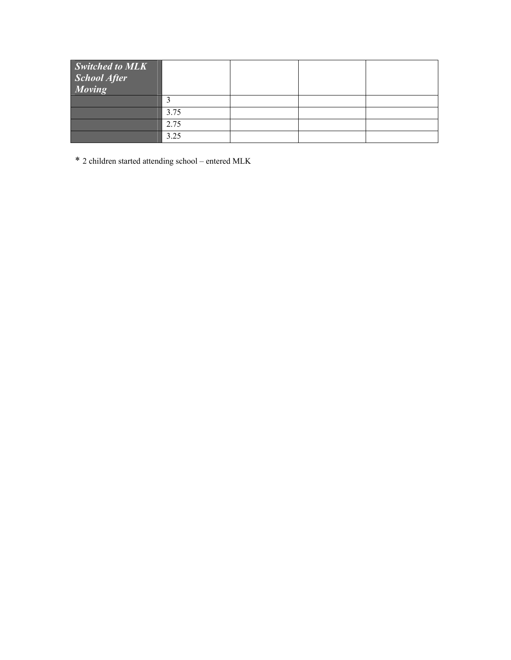| <b>Switched to MLK</b><br><b>School After</b><br>Moving |      |  |  |
|---------------------------------------------------------|------|--|--|
|                                                         |      |  |  |
|                                                         | 3.75 |  |  |
|                                                         | 2.75 |  |  |
|                                                         | 3.25 |  |  |

\* 2 children started attending school – entered MLK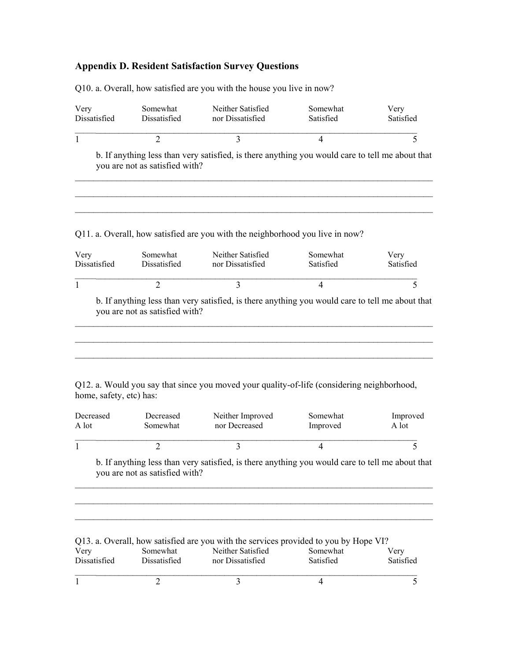## **Appendix D. Resident Satisfaction Survey Questions**

| Very<br>Dissatisfied      | Somewhat<br>Dissatisfied       | Neither Satisfied<br>nor Dissatisfied                                                           | Somewhat<br>Satisfied | Very<br>Satisfied |
|---------------------------|--------------------------------|-------------------------------------------------------------------------------------------------|-----------------------|-------------------|
| 1                         | $\overline{2}$                 | 3                                                                                               | $\overline{4}$        | 5                 |
|                           | you are not as satisfied with? | b. If anything less than very satisfied, is there anything you would care to tell me about that |                       |                   |
|                           |                                |                                                                                                 |                       |                   |
|                           |                                | Q11. a. Overall, how satisfied are you with the neighborhood you live in now?                   |                       |                   |
|                           | Somewhat<br>Dissatisfied       | Neither Satisfied<br>nor Dissatisfied                                                           | Somewhat<br>Satisfied | Very<br>Satisfied |
|                           | $\overline{2}$                 | 3                                                                                               | 4                     | 5                 |
| Very<br>Dissatisfied<br>1 | you are not as satisfied with? | b. If anything less than very satisfied, is there anything you would care to tell me about that |                       |                   |

Q10. a. Overall, how satisfied are you with the house you live in now?

Q12. a. Would you say that since you moved your quality-of-life (considering neighborhood, home, safety, etc) has:

| Decreased | Decreased | Neither Improved | Somewhat | Improved |
|-----------|-----------|------------------|----------|----------|
| A lot     | Somewhat  | nor Decreased    | Improved | A lot    |
|           |           |                  |          |          |

b. If anything less than very satisfied, is there anything you would care to tell me about that you are not as satisfied with?

 $\mathcal{L}_\mathcal{L} = \{ \mathcal{L}_\mathcal{L} = \{ \mathcal{L}_\mathcal{L} = \{ \mathcal{L}_\mathcal{L} = \{ \mathcal{L}_\mathcal{L} = \{ \mathcal{L}_\mathcal{L} = \{ \mathcal{L}_\mathcal{L} = \{ \mathcal{L}_\mathcal{L} = \{ \mathcal{L}_\mathcal{L} = \{ \mathcal{L}_\mathcal{L} = \{ \mathcal{L}_\mathcal{L} = \{ \mathcal{L}_\mathcal{L} = \{ \mathcal{L}_\mathcal{L} = \{ \mathcal{L}_\mathcal{L} = \{ \mathcal{L}_\mathcal{$  $\mathcal{L}_\mathcal{L} = \{ \mathcal{L}_\mathcal{L} = \{ \mathcal{L}_\mathcal{L} = \{ \mathcal{L}_\mathcal{L} = \{ \mathcal{L}_\mathcal{L} = \{ \mathcal{L}_\mathcal{L} = \{ \mathcal{L}_\mathcal{L} = \{ \mathcal{L}_\mathcal{L} = \{ \mathcal{L}_\mathcal{L} = \{ \mathcal{L}_\mathcal{L} = \{ \mathcal{L}_\mathcal{L} = \{ \mathcal{L}_\mathcal{L} = \{ \mathcal{L}_\mathcal{L} = \{ \mathcal{L}_\mathcal{L} = \{ \mathcal{L}_\mathcal{$ 

Q13. a. Overall, how satisfied are you with the services provided to you by Hope VI?

| Very         | Somewhat     | Neither Satisfied | Somewhat  | Verv      |
|--------------|--------------|-------------------|-----------|-----------|
| Dissatisfied | Dissatisfied | nor Dissatisfied  | Satisfied | Satisfied |
|              |              |                   |           |           |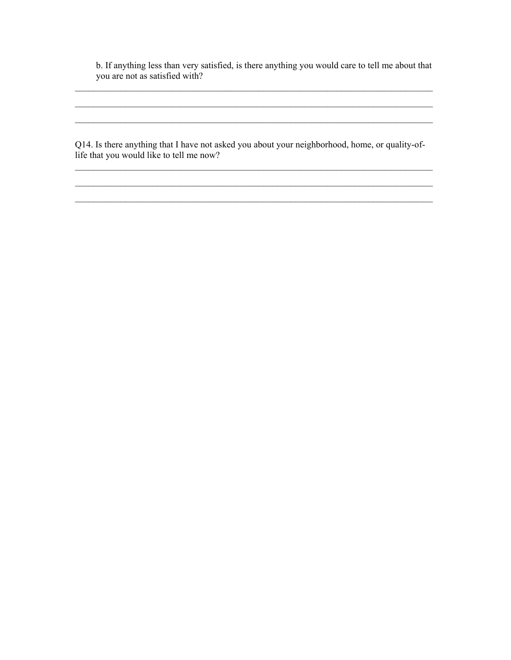b. If anything less than very satisfied, is there anything you would care to tell me about that you are not as satisfied with?

\_\_\_\_\_\_\_\_\_\_\_\_\_\_\_\_\_\_\_\_\_\_\_\_\_\_\_\_\_\_\_\_\_\_\_\_\_\_\_\_\_\_\_\_\_\_\_\_\_\_\_\_\_\_\_\_\_\_\_\_\_\_\_\_\_\_\_\_\_\_\_\_\_\_\_\_\_\_

 $\mathcal{L}_\mathcal{L} = \{ \mathcal{L}_\mathcal{L} = \{ \mathcal{L}_\mathcal{L} = \{ \mathcal{L}_\mathcal{L} = \{ \mathcal{L}_\mathcal{L} = \{ \mathcal{L}_\mathcal{L} = \{ \mathcal{L}_\mathcal{L} = \{ \mathcal{L}_\mathcal{L} = \{ \mathcal{L}_\mathcal{L} = \{ \mathcal{L}_\mathcal{L} = \{ \mathcal{L}_\mathcal{L} = \{ \mathcal{L}_\mathcal{L} = \{ \mathcal{L}_\mathcal{L} = \{ \mathcal{L}_\mathcal{L} = \{ \mathcal{L}_\mathcal{$ 

\_\_\_\_\_\_\_\_\_\_\_\_\_\_\_\_\_\_\_\_\_\_\_\_\_\_\_\_\_\_\_\_\_\_\_\_\_\_\_\_\_\_\_\_\_\_\_\_\_\_\_\_\_\_\_\_\_\_\_\_\_\_\_\_\_\_\_\_\_\_\_\_\_\_\_\_\_\_

Q14. Is there anything that I have not asked you about your neighborhood, home, or quality-oflife that you would like to tell me now?

 $\mathcal{L}_\mathcal{L} = \{ \mathcal{L}_\mathcal{L} = \{ \mathcal{L}_\mathcal{L} = \{ \mathcal{L}_\mathcal{L} = \{ \mathcal{L}_\mathcal{L} = \{ \mathcal{L}_\mathcal{L} = \{ \mathcal{L}_\mathcal{L} = \{ \mathcal{L}_\mathcal{L} = \{ \mathcal{L}_\mathcal{L} = \{ \mathcal{L}_\mathcal{L} = \{ \mathcal{L}_\mathcal{L} = \{ \mathcal{L}_\mathcal{L} = \{ \mathcal{L}_\mathcal{L} = \{ \mathcal{L}_\mathcal{L} = \{ \mathcal{L}_\mathcal{$  $\mathcal{L}_\mathcal{L} = \{ \mathcal{L}_\mathcal{L} = \{ \mathcal{L}_\mathcal{L} = \{ \mathcal{L}_\mathcal{L} = \{ \mathcal{L}_\mathcal{L} = \{ \mathcal{L}_\mathcal{L} = \{ \mathcal{L}_\mathcal{L} = \{ \mathcal{L}_\mathcal{L} = \{ \mathcal{L}_\mathcal{L} = \{ \mathcal{L}_\mathcal{L} = \{ \mathcal{L}_\mathcal{L} = \{ \mathcal{L}_\mathcal{L} = \{ \mathcal{L}_\mathcal{L} = \{ \mathcal{L}_\mathcal{L} = \{ \mathcal{L}_\mathcal{$  $\mathcal{L}_\mathcal{L} = \{ \mathcal{L}_\mathcal{L} = \{ \mathcal{L}_\mathcal{L} = \{ \mathcal{L}_\mathcal{L} = \{ \mathcal{L}_\mathcal{L} = \{ \mathcal{L}_\mathcal{L} = \{ \mathcal{L}_\mathcal{L} = \{ \mathcal{L}_\mathcal{L} = \{ \mathcal{L}_\mathcal{L} = \{ \mathcal{L}_\mathcal{L} = \{ \mathcal{L}_\mathcal{L} = \{ \mathcal{L}_\mathcal{L} = \{ \mathcal{L}_\mathcal{L} = \{ \mathcal{L}_\mathcal{L} = \{ \mathcal{L}_\mathcal{$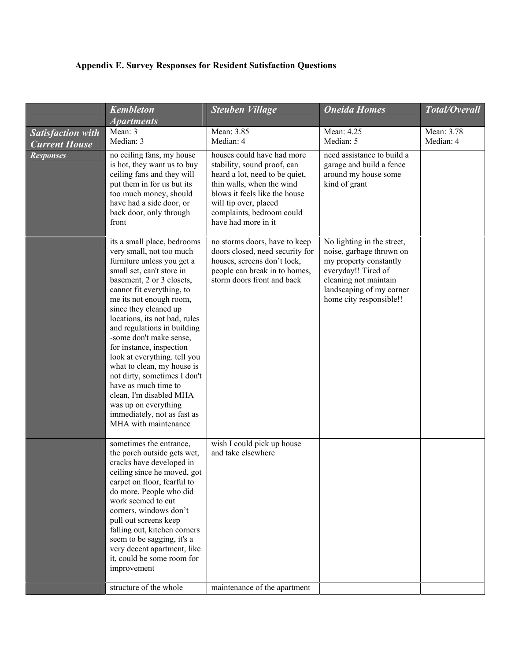# **Appendix E. Survey Responses for Resident Satisfaction Questions**

|                                                  | <b>Kembleton</b>                                                                                                                                                                                                                                                                                                                                                                                                                                                                                                                                                                        | <b>Steuben Village</b>                                                                                                                                                                                                                 | <b>Oneida Homes</b>                                                                                                                                                                     | Total/Overall           |
|--------------------------------------------------|-----------------------------------------------------------------------------------------------------------------------------------------------------------------------------------------------------------------------------------------------------------------------------------------------------------------------------------------------------------------------------------------------------------------------------------------------------------------------------------------------------------------------------------------------------------------------------------------|----------------------------------------------------------------------------------------------------------------------------------------------------------------------------------------------------------------------------------------|-----------------------------------------------------------------------------------------------------------------------------------------------------------------------------------------|-------------------------|
|                                                  | <b>Apartments</b>                                                                                                                                                                                                                                                                                                                                                                                                                                                                                                                                                                       |                                                                                                                                                                                                                                        |                                                                                                                                                                                         |                         |
| <b>Satisfaction with</b><br><b>Current House</b> | Mean: 3<br>Median: 3                                                                                                                                                                                                                                                                                                                                                                                                                                                                                                                                                                    | Mean: 3.85<br>Median: 4                                                                                                                                                                                                                | Mean: 4.25<br>Median: 5                                                                                                                                                                 | Mean: 3.78<br>Median: 4 |
| <b>Responses</b>                                 | no ceiling fans, my house<br>is hot, they want us to buy<br>ceiling fans and they will<br>put them in for us but its<br>too much money, should<br>have had a side door, or<br>back door, only through<br>front                                                                                                                                                                                                                                                                                                                                                                          | houses could have had more<br>stability, sound proof, can<br>heard a lot, need to be quiet,<br>thin walls, when the wind<br>blows it feels like the house<br>will tip over, placed<br>complaints, bedroom could<br>have had more in it | need assistance to build a<br>garage and build a fence<br>around my house some<br>kind of grant                                                                                         |                         |
|                                                  | its a small place, bedrooms<br>very small, not too much<br>furniture unless you get a<br>small set, can't store in<br>basement, 2 or 3 closets,<br>cannot fit everything, to<br>me its not enough room,<br>since they cleaned up<br>locations, its not bad, rules<br>and regulations in building<br>-some don't make sense,<br>for instance, inspection<br>look at everything. tell you<br>what to clean, my house is<br>not dirty, sometimes I don't<br>have as much time to<br>clean, I'm disabled MHA<br>was up on everything<br>immediately, not as fast as<br>MHA with maintenance | no storms doors, have to keep<br>doors closed, need security for<br>houses, screens don't lock,<br>people can break in to homes,<br>storm doors front and back                                                                         | No lighting in the street,<br>noise, garbage thrown on<br>my property constantly<br>everyday!! Tired of<br>cleaning not maintain<br>landscaping of my corner<br>home city responsible!! |                         |
|                                                  | sometimes the entrance,<br>the porch outside gets wet,<br>cracks have developed in<br>ceiling since he moved, got<br>carpet on floor, fearful to<br>do more. People who did<br>work seemed to cut<br>corners, windows don't<br>pull out screens keep<br>falling out, kitchen corners<br>seem to be sagging, it's a<br>very decent apartment, like<br>it, could be some room for<br>improvement                                                                                                                                                                                          | wish I could pick up house<br>and take elsewhere                                                                                                                                                                                       |                                                                                                                                                                                         |                         |
|                                                  | structure of the whole                                                                                                                                                                                                                                                                                                                                                                                                                                                                                                                                                                  | maintenance of the apartment                                                                                                                                                                                                           |                                                                                                                                                                                         |                         |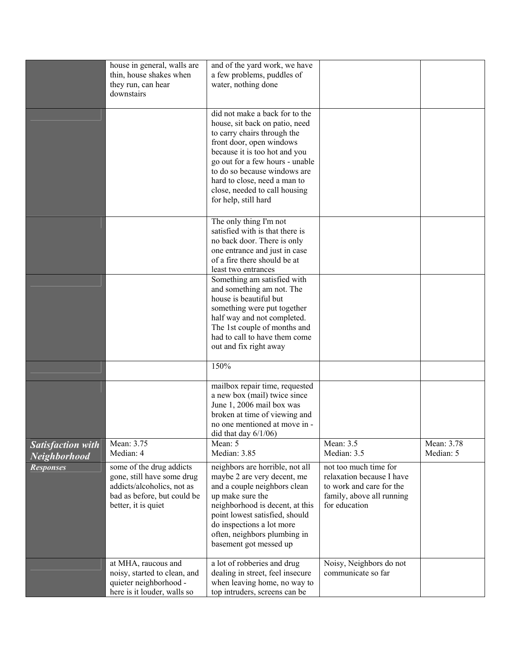|                                          | house in general, walls are<br>thin, house shakes when<br>they run, can hear<br>downstairs                                                 | and of the yard work, we have<br>a few problems, puddles of<br>water, nothing done                                                                                                                                                                                                                                       |                                                                                                                              |                         |
|------------------------------------------|--------------------------------------------------------------------------------------------------------------------------------------------|--------------------------------------------------------------------------------------------------------------------------------------------------------------------------------------------------------------------------------------------------------------------------------------------------------------------------|------------------------------------------------------------------------------------------------------------------------------|-------------------------|
|                                          |                                                                                                                                            | did not make a back for to the<br>house, sit back on patio, need<br>to carry chairs through the<br>front door, open windows<br>because it is too hot and you<br>go out for a few hours - unable<br>to do so because windows are<br>hard to close, need a man to<br>close, needed to call housing<br>for help, still hard |                                                                                                                              |                         |
|                                          |                                                                                                                                            | The only thing I'm not<br>satisfied with is that there is<br>no back door. There is only<br>one entrance and just in case<br>of a fire there should be at<br>least two entrances                                                                                                                                         |                                                                                                                              |                         |
|                                          |                                                                                                                                            | Something am satisfied with<br>and something am not. The<br>house is beautiful but<br>something were put together<br>half way and not completed.<br>The 1st couple of months and<br>had to call to have them come<br>out and fix right away                                                                              |                                                                                                                              |                         |
|                                          |                                                                                                                                            | 150%                                                                                                                                                                                                                                                                                                                     |                                                                                                                              |                         |
|                                          |                                                                                                                                            | mailbox repair time, requested<br>a new box (mail) twice since<br>June 1, 2006 mail box was<br>broken at time of viewing and<br>no one mentioned at move in -<br>did that day $6/1/06$ )                                                                                                                                 |                                                                                                                              |                         |
| <b>Satisfaction with</b><br>Neighborhood | Mean: 3.75<br>Median: 4                                                                                                                    | Mean: 5<br>Median: 3.85                                                                                                                                                                                                                                                                                                  | Mean: $3.5$<br>Median: 3.5                                                                                                   | Mean: 3.78<br>Median: 5 |
| <b>Responses</b>                         | some of the drug addicts<br>gone, still have some drug<br>addicts/alcoholics, not as<br>bad as before, but could be<br>better, it is quiet | neighbors are horrible, not all<br>maybe 2 are very decent, me<br>and a couple neighbors clean<br>up make sure the<br>neighborhood is decent, at this<br>point lowest satisfied, should<br>do inspections a lot more<br>often, neighbors plumbing in<br>basement got messed up                                           | not too much time for<br>relaxation because I have<br>to work and care for the<br>family, above all running<br>for education |                         |
|                                          | at MHA, raucous and<br>noisy, started to clean, and<br>quieter neighborhood -<br>here is it louder, walls so                               | a lot of robberies and drug<br>dealing in street, feel insecure<br>when leaving home, no way to<br>top intruders, screens can be                                                                                                                                                                                         | Noisy, Neighbors do not<br>communicate so far                                                                                |                         |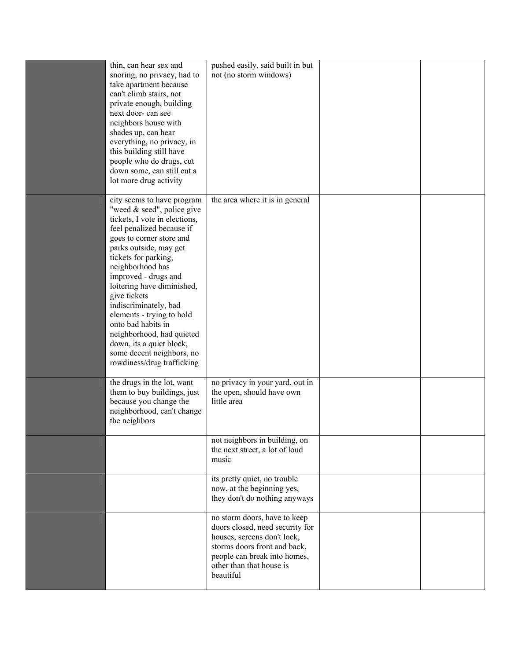| thin, can hear sex and<br>snoring, no privacy, had to<br>take apartment because<br>can't climb stairs, not<br>private enough, building<br>next door- can see<br>neighbors house with<br>shades up, can hear<br>everything, no privacy, in<br>this building still have<br>people who do drugs, cut<br>down some, can still cut a                                                                                                                                  | pushed easily, said built in but<br>not (no storm windows)                                                                                                                                              |  |
|------------------------------------------------------------------------------------------------------------------------------------------------------------------------------------------------------------------------------------------------------------------------------------------------------------------------------------------------------------------------------------------------------------------------------------------------------------------|---------------------------------------------------------------------------------------------------------------------------------------------------------------------------------------------------------|--|
| lot more drug activity<br>city seems to have program                                                                                                                                                                                                                                                                                                                                                                                                             | the area where it is in general                                                                                                                                                                         |  |
| "weed & seed", police give<br>tickets, I vote in elections,<br>feel penalized because if<br>goes to corner store and<br>parks outside, may get<br>tickets for parking,<br>neighborhood has<br>improved - drugs and<br>loitering have diminished,<br>give tickets<br>indiscriminately, bad<br>elements - trying to hold<br>onto bad habits in<br>neighborhood, had quieted<br>down, its a quiet block,<br>some decent neighbors, no<br>rowdiness/drug trafficking |                                                                                                                                                                                                         |  |
| the drugs in the lot, want<br>them to buy buildings, just<br>because you change the<br>neighborhood, can't change<br>the neighbors                                                                                                                                                                                                                                                                                                                               | no privacy in your yard, out in<br>the open, should have own<br>little area                                                                                                                             |  |
|                                                                                                                                                                                                                                                                                                                                                                                                                                                                  | not neighbors in building, on<br>the next street, a lot of loud<br>music                                                                                                                                |  |
|                                                                                                                                                                                                                                                                                                                                                                                                                                                                  | its pretty quiet, no trouble<br>now, at the beginning yes,<br>they don't do nothing anyways                                                                                                             |  |
|                                                                                                                                                                                                                                                                                                                                                                                                                                                                  | no storm doors, have to keep<br>doors closed, need security for<br>houses, screens don't lock,<br>storms doors front and back,<br>people can break into homes,<br>other than that house is<br>beautiful |  |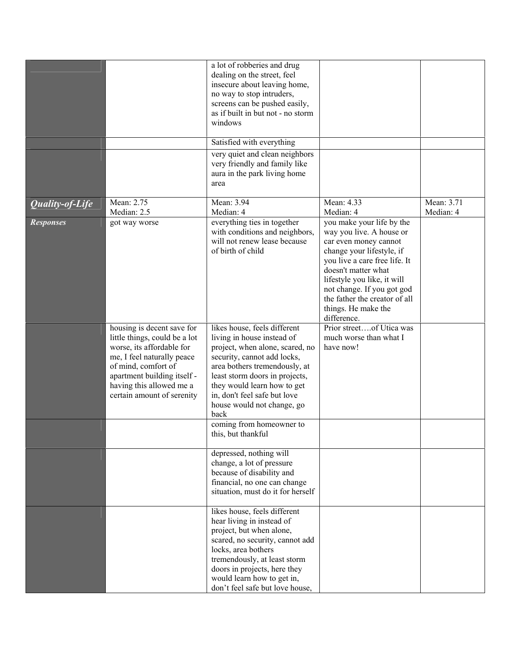|                                      |                                                                                                                                                                                                                                        | a lot of robberies and drug<br>dealing on the street, feel<br>insecure about leaving home,<br>no way to stop intruders,<br>screens can be pushed easily,<br>as if built in but not - no storm<br>windows                                                                                             |                                                                                                                                                                                                                                                                                                                      |                         |
|--------------------------------------|----------------------------------------------------------------------------------------------------------------------------------------------------------------------------------------------------------------------------------------|------------------------------------------------------------------------------------------------------------------------------------------------------------------------------------------------------------------------------------------------------------------------------------------------------|----------------------------------------------------------------------------------------------------------------------------------------------------------------------------------------------------------------------------------------------------------------------------------------------------------------------|-------------------------|
|                                      |                                                                                                                                                                                                                                        | Satisfied with everything<br>very quiet and clean neighbors<br>very friendly and family like<br>aura in the park living home<br>area                                                                                                                                                                 |                                                                                                                                                                                                                                                                                                                      |                         |
| $\overline{Q}$ <i>uality-of-Life</i> | Mean: 2.75                                                                                                                                                                                                                             | Mean: 3.94                                                                                                                                                                                                                                                                                           | Mean: 4.33                                                                                                                                                                                                                                                                                                           | Mean: $3.\overline{71}$ |
| <b>Responses</b>                     | Median: 2.5<br>got way worse                                                                                                                                                                                                           | Median: 4<br>everything ties in together<br>with conditions and neighbors,<br>will not renew lease because<br>of birth of child                                                                                                                                                                      | Median: 4<br>you make your life by the<br>way you live. A house or<br>car even money cannot<br>change your lifestyle, if<br>you live a care free life. It<br>doesn't matter what<br>lifestyle you like, it will<br>not change. If you got god<br>the father the creator of all<br>things. He make the<br>difference. | Median: 4               |
|                                      | housing is decent save for<br>little things, could be a lot<br>worse, its affordable for<br>me, I feel naturally peace<br>of mind, comfort of<br>apartment building itself -<br>having this allowed me a<br>certain amount of serenity | likes house, feels different<br>living in house instead of<br>project, when alone, scared, no<br>security, cannot add locks,<br>area bothers tremendously, at<br>least storm doors in projects,<br>they would learn how to get<br>in, don't feel safe but love<br>house would not change, go<br>back | Prior streetof Utica was<br>much worse than what I<br>have now!                                                                                                                                                                                                                                                      |                         |
|                                      |                                                                                                                                                                                                                                        | coming from homeowner to<br>this, but thankful                                                                                                                                                                                                                                                       |                                                                                                                                                                                                                                                                                                                      |                         |
|                                      |                                                                                                                                                                                                                                        | depressed, nothing will<br>change, a lot of pressure<br>because of disability and<br>financial, no one can change<br>situation, must do it for herself                                                                                                                                               |                                                                                                                                                                                                                                                                                                                      |                         |
|                                      |                                                                                                                                                                                                                                        | likes house, feels different<br>hear living in instead of<br>project, but when alone,<br>scared, no security, cannot add<br>locks, area bothers<br>tremendously, at least storm<br>doors in projects, here they<br>would learn how to get in,<br>don't feel safe but love house,                     |                                                                                                                                                                                                                                                                                                                      |                         |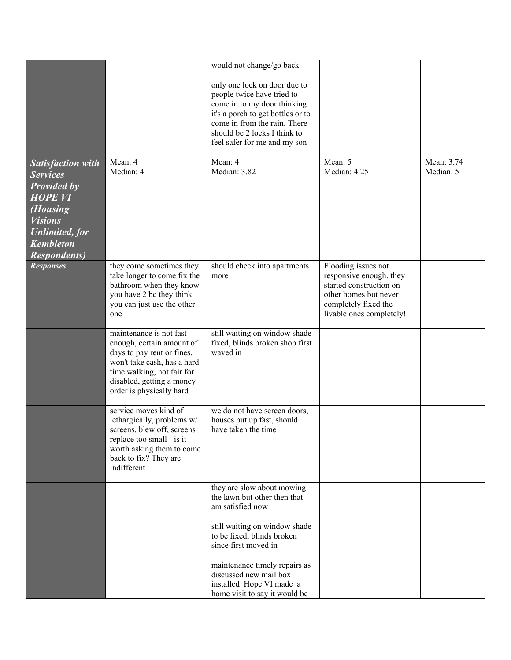|                                                                                                                                                                                                 |                                                                                                                                                                                                          | would not change/go back                                                                                                                                                                                                       |                                                                                                                                                        |                         |
|-------------------------------------------------------------------------------------------------------------------------------------------------------------------------------------------------|----------------------------------------------------------------------------------------------------------------------------------------------------------------------------------------------------------|--------------------------------------------------------------------------------------------------------------------------------------------------------------------------------------------------------------------------------|--------------------------------------------------------------------------------------------------------------------------------------------------------|-------------------------|
|                                                                                                                                                                                                 |                                                                                                                                                                                                          | only one lock on door due to<br>people twice have tried to<br>come in to my door thinking<br>it's a porch to get bottles or to<br>come in from the rain. There<br>should be 2 locks I think to<br>feel safer for me and my son |                                                                                                                                                        |                         |
| <b>Satisfaction with</b><br><b>Services</b><br><b>Provided by</b><br><b>HOPE VI</b><br>( <i>Housing</i><br><b>Visions</b><br><b>Unlimited</b> , for<br><b>Kembleton</b><br><b>Respondents</b> ) | Mean: 4<br>Median: 4                                                                                                                                                                                     | Mean: 4<br>Median: 3.82                                                                                                                                                                                                        | Mean: 5<br>Median: 4.25                                                                                                                                | Mean: 3.74<br>Median: 5 |
| <b>Responses</b>                                                                                                                                                                                | they come sometimes they<br>take longer to come fix the<br>bathroom when they know<br>you have 2 bc they think<br>you can just use the other<br>one                                                      | should check into apartments<br>more                                                                                                                                                                                           | Flooding issues not<br>responsive enough, they<br>started construction on<br>other homes but never<br>completely fixed the<br>livable ones completely! |                         |
|                                                                                                                                                                                                 | maintenance is not fast<br>enough, certain amount of<br>days to pay rent or fines,<br>won't take cash, has a hard<br>time walking, not fair for<br>disabled, getting a money<br>order is physically hard | still waiting on window shade<br>fixed, blinds broken shop first<br>waved in                                                                                                                                                   |                                                                                                                                                        |                         |
|                                                                                                                                                                                                 | service moves kind of<br>lethargically, problems w/<br>screens, blew off, screens<br>replace too small - is it<br>worth asking them to come<br>back to fix? They are<br>indifferent                      | we do not have screen doors,<br>houses put up fast, should<br>have taken the time                                                                                                                                              |                                                                                                                                                        |                         |
|                                                                                                                                                                                                 |                                                                                                                                                                                                          | they are slow about mowing<br>the lawn but other then that<br>am satisfied now                                                                                                                                                 |                                                                                                                                                        |                         |
|                                                                                                                                                                                                 |                                                                                                                                                                                                          | still waiting on window shade<br>to be fixed, blinds broken<br>since first moved in                                                                                                                                            |                                                                                                                                                        |                         |
|                                                                                                                                                                                                 |                                                                                                                                                                                                          | maintenance timely repairs as<br>discussed new mail box<br>installed Hope VI made a<br>home visit to say it would be                                                                                                           |                                                                                                                                                        |                         |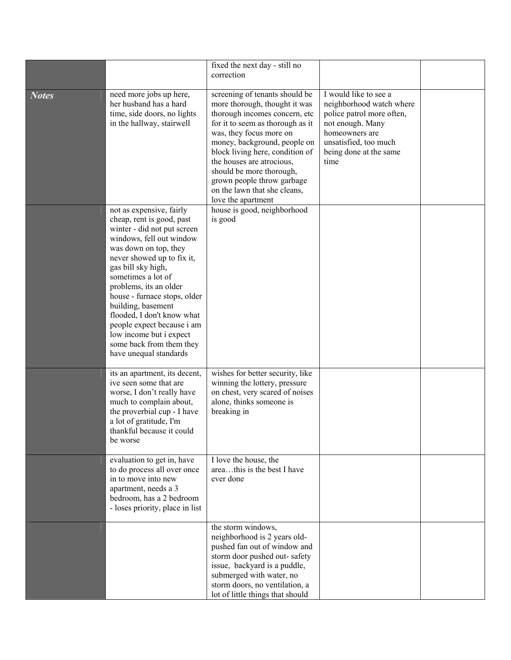|              |                                                                                                                                                                                                                                                                                                                                                                                                                                                  | fixed the next day - still no<br>correction                                                                                                                                                                                                                                                                                                                                     |                                                                                                                                                                                 |  |
|--------------|--------------------------------------------------------------------------------------------------------------------------------------------------------------------------------------------------------------------------------------------------------------------------------------------------------------------------------------------------------------------------------------------------------------------------------------------------|---------------------------------------------------------------------------------------------------------------------------------------------------------------------------------------------------------------------------------------------------------------------------------------------------------------------------------------------------------------------------------|---------------------------------------------------------------------------------------------------------------------------------------------------------------------------------|--|
| <b>Notes</b> | need more jobs up here,<br>her husband has a hard<br>time, side doors, no lights<br>in the hallway, stairwell                                                                                                                                                                                                                                                                                                                                    | screening of tenants should be<br>more thorough, thought it was<br>thorough incomes concern, etc<br>for it to seem as thorough as it<br>was, they focus more on<br>money, background, people on<br>block living here, condition of<br>the houses are atrocious,<br>should be more thorough,<br>grown people throw garbage<br>on the lawn that she cleans,<br>love the apartment | I would like to see a<br>neighborhood watch where<br>police patrol more often,<br>not enough. Many<br>homeowners are<br>unsatisfied, too much<br>being done at the same<br>time |  |
|              | not as expensive, fairly<br>cheap, rent is good, past<br>winter - did not put screen<br>windows, fell out window<br>was down on top, they<br>never showed up to fix it,<br>gas bill sky high,<br>sometimes a lot of<br>problems, its an older<br>house - furnace stops, older<br>building, basement<br>flooded, I don't know what<br>people expect because i am<br>low income but i expect<br>some back from them they<br>have unequal standards | house is good, neighborhood<br>is good                                                                                                                                                                                                                                                                                                                                          |                                                                                                                                                                                 |  |
|              | its an apartment, its decent,<br>ive seen some that are<br>worse, I don't really have<br>much to complain about,<br>the proverbial cup - I have<br>a lot of gratitude, I'm<br>thankful because it could<br>be worse                                                                                                                                                                                                                              | wishes for better security, like<br>winning the lottery, pressure<br>on chest, very scared of noises<br>alone, thinks someone is<br>breaking in                                                                                                                                                                                                                                 |                                                                                                                                                                                 |  |
|              | evaluation to get in, have<br>to do process all over once<br>in to move into new<br>apartment, needs a 3<br>bedroom, has a 2 bedroom<br>- loses priority, place in list                                                                                                                                                                                                                                                                          | I love the house, the<br>areathis is the best I have<br>ever done                                                                                                                                                                                                                                                                                                               |                                                                                                                                                                                 |  |
|              |                                                                                                                                                                                                                                                                                                                                                                                                                                                  | the storm windows,<br>neighborhood is 2 years old-<br>pushed fan out of window and<br>storm door pushed out-safety<br>issue, backyard is a puddle,<br>submerged with water, no<br>storm doors, no ventilation, a<br>lot of little things that should                                                                                                                            |                                                                                                                                                                                 |  |